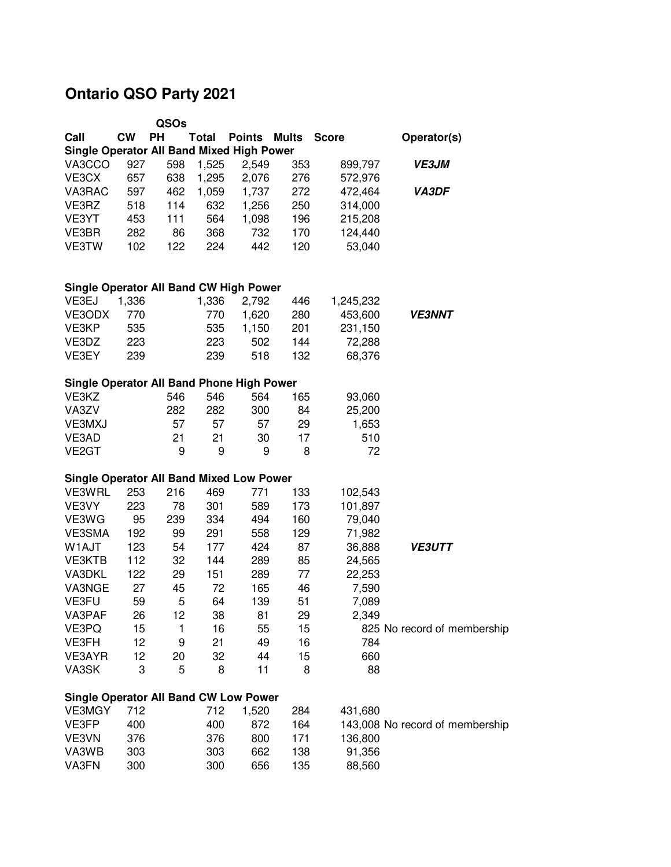## **Ontario QSO Party 2021**

|                                                           |           | QSOs      |              |               |              |              |                                 |  |  |  |  |  |  |
|-----------------------------------------------------------|-----------|-----------|--------------|---------------|--------------|--------------|---------------------------------|--|--|--|--|--|--|
| Call                                                      | <b>CW</b> | <b>PH</b> | <b>Total</b> | <b>Points</b> | <b>Mults</b> | <b>Score</b> | Operator(s)                     |  |  |  |  |  |  |
| <b>Single Operator All Band Mixed High Power</b>          |           |           |              |               |              |              |                                 |  |  |  |  |  |  |
| VA3CCO                                                    | 927       | 598       | 1,525        | 2,549         | 353          | 899,797      | <b>VE3JM</b>                    |  |  |  |  |  |  |
| VE3CX                                                     | 657       | 638       | 1,295        | 2,076         | 276          | 572,976      |                                 |  |  |  |  |  |  |
| VA3RAC                                                    | 597       | 462       | 1,059        | 1,737         | 272          | 472,464      | <b>VA3DF</b>                    |  |  |  |  |  |  |
| VE3RZ                                                     | 518       | 114       | 632          | 1,256         | 250          | 314,000      |                                 |  |  |  |  |  |  |
| VE3YT                                                     | 453       | 111       | 564          | 1,098         | 196          | 215,208      |                                 |  |  |  |  |  |  |
| VE3BR                                                     | 282       | 86        | 368          | 732           | 170          | 124,440      |                                 |  |  |  |  |  |  |
| VE3TW                                                     | 102       | 122       | 224          | 442           | 120          | 53,040       |                                 |  |  |  |  |  |  |
|                                                           |           |           |              |               |              |              |                                 |  |  |  |  |  |  |
| <b>Single Operator All Band CW High Power</b>             |           |           |              |               |              |              |                                 |  |  |  |  |  |  |
| VE3EJ                                                     | 1,336     |           | 1,336        | 2,792         | 446          | 1,245,232    |                                 |  |  |  |  |  |  |
| VE3ODX                                                    | 770       |           | 770          | 1,620         | 280          | 453,600      | <b>VE3NNT</b>                   |  |  |  |  |  |  |
| VE3KP                                                     | 535       |           | 535          | 1,150         | 201          | 231,150      |                                 |  |  |  |  |  |  |
| VE3DZ                                                     | 223       |           | 223          | 502           | 144          | 72,288       |                                 |  |  |  |  |  |  |
| VE3EY                                                     | 239       |           | 239          | 518           | 132          | 68,376       |                                 |  |  |  |  |  |  |
|                                                           |           |           |              |               |              |              |                                 |  |  |  |  |  |  |
| <b>Single Operator All Band Phone High Power</b>          |           |           |              |               |              |              |                                 |  |  |  |  |  |  |
| VE3KZ                                                     |           | 546       | 546          | 564           | 165          | 93,060       |                                 |  |  |  |  |  |  |
| VA3ZV                                                     |           | 282       | 282          | 300           | 84           | 25,200       |                                 |  |  |  |  |  |  |
| VE3MXJ                                                    |           | 57        | 57           | 57            | 29           | 1,653        |                                 |  |  |  |  |  |  |
| VE3AD                                                     |           | 21        | 21           | 30            | 17           | 510          |                                 |  |  |  |  |  |  |
| VE <sub>2</sub> GT                                        |           | 9         | 9            | 9             | 8            | 72           |                                 |  |  |  |  |  |  |
|                                                           |           |           |              |               |              |              |                                 |  |  |  |  |  |  |
| <b>Single Operator All Band Mixed Low Power</b><br>VE3WRL | 253       | 216       | 469          | 771           | 133          | 102,543      |                                 |  |  |  |  |  |  |
| VE3VY                                                     | 223       | 78        | 301          | 589           | 173          | 101,897      |                                 |  |  |  |  |  |  |
| VE3WG                                                     | 95        | 239       | 334          | 494           | 160          | 79,040       |                                 |  |  |  |  |  |  |
| VE3SMA                                                    | 192       | 99        | 291          | 558           | 129          | 71,982       |                                 |  |  |  |  |  |  |
| W1AJT                                                     | 123       | 54        | 177          | 424           | 87           | 36,888       | <b>VE3UTT</b>                   |  |  |  |  |  |  |
| <b>VE3KTB</b>                                             | 112       | 32        | 144          | 289           | 85           | 24,565       |                                 |  |  |  |  |  |  |
| VA3DKL                                                    | 122       | 29        | 151          | 289           | 77           | 22,253       |                                 |  |  |  |  |  |  |
| VA3NGE                                                    | 27        | 45        | 72           | 165           | 46           | 7,590        |                                 |  |  |  |  |  |  |
| VE3FU                                                     | 59        | 5         | 64           | 139           | 51           | 7,089        |                                 |  |  |  |  |  |  |
| VA3PAF                                                    | 26        | 12        | 38           | 81            | 29           | 2,349        |                                 |  |  |  |  |  |  |
| VE3PQ                                                     | 15        | 1         | 16           | 55            | 15           |              | 825 No record of membership     |  |  |  |  |  |  |
| VE3FH                                                     | 12        | 9         | 21           | 49            | 16           | 784          |                                 |  |  |  |  |  |  |
| VE3AYR                                                    | 12        | 20        | 32           | 44            | 15           | 660          |                                 |  |  |  |  |  |  |
| VA3SK                                                     | 3         | 5         | 8            | 11            | 8            | 88           |                                 |  |  |  |  |  |  |
|                                                           |           |           |              |               |              |              |                                 |  |  |  |  |  |  |
| <b>Single Operator All Band CW Low Power</b>              |           |           |              |               |              |              |                                 |  |  |  |  |  |  |
| <b>VE3MGY</b>                                             | 712       |           | 712          | 1,520         | 284          | 431,680      |                                 |  |  |  |  |  |  |
| VE3FP                                                     | 400       |           | 400          | 872           | 164          |              | 143,008 No record of membership |  |  |  |  |  |  |
| VE3VN                                                     | 376       |           | 376          | 800           | 171          | 136,800      |                                 |  |  |  |  |  |  |
| VA3WB                                                     | 303       |           | 303          | 662           | 138          | 91,356       |                                 |  |  |  |  |  |  |
| VA3FN                                                     | 300       |           | 300          | 656           | 135          | 88,560       |                                 |  |  |  |  |  |  |